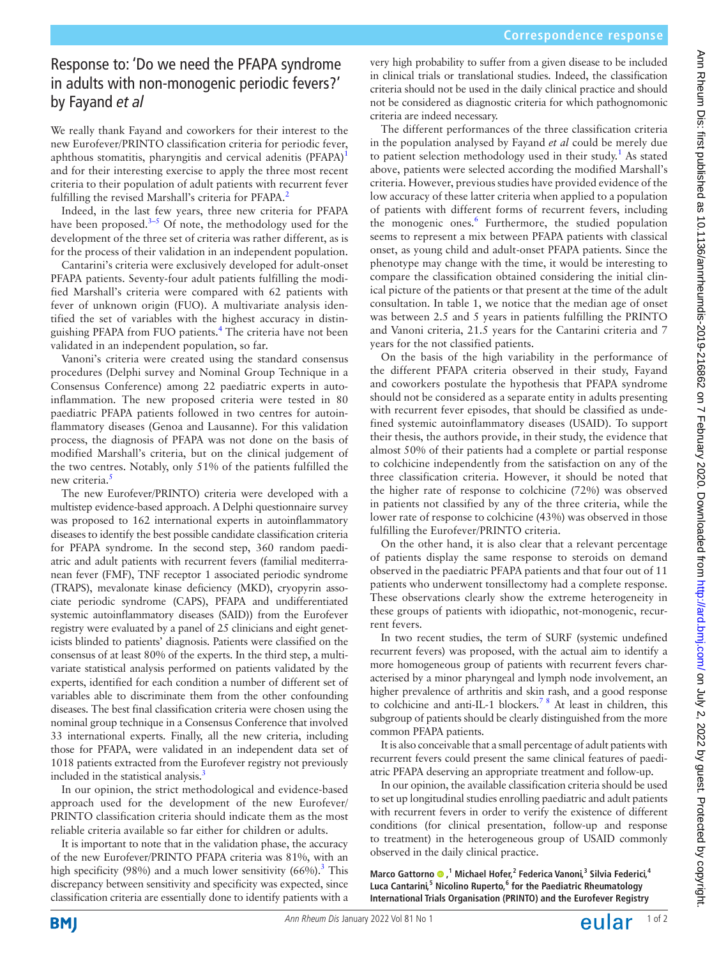# Response to: 'Do we need the PFAPA syndrome in adults with non-monogenic periodic fevers?' by Fayand *et al*

We really thank Fayand and coworkers for their interest to the new Eurofever/PRINTO classification criteria for periodic fever, aphthous stomatitis, pharyngitis and cervical adenitis (PFAPA)<sup>[1](#page-1-0)</sup> and for their interesting exercise to apply the three most recent criteria to their population of adult patients with recurrent fever fulfilling the revised Marshall's criteria for PFAPA.<sup>[2](#page-1-1)</sup>

Indeed, in the last few years, three new criteria for PFAPA have been proposed. $3-5$  Of note, the methodology used for the development of the three set of criteria was rather different, as is for the process of their validation in an independent population.

Cantarini's criteria were exclusively developed for adult-onset PFAPA patients. Seventy-four adult patients fulfilling the modified Marshall's criteria were compared with 62 patients with fever of unknown origin (FUO). A multivariate analysis identified the set of variables with the highest accuracy in distin-guishing PFAPA from FUO patients.<sup>[4](#page-1-3)</sup> The criteria have not been validated in an independent population, so far.

Vanoni's criteria were created using the standard consensus procedures (Delphi survey and Nominal Group Technique in a Consensus Conference) among 22 paediatric experts in autoinflammation. The new proposed criteria were tested in 80 paediatric PFAPA patients followed in two centres for autoinflammatory diseases (Genoa and Lausanne). For this validation process, the diagnosis of PFAPA was not done on the basis of modified Marshall's criteria, but on the clinical judgement of the two centres. Notably, only 51% of the patients fulfilled the new criteria.<sup>5</sup>

The new Eurofever/PRINTO) criteria were developed with a multistep evidence-based approach. A Delphi questionnaire survey was proposed to 162 international experts in autoinflammatory diseases to identify the best possible candidate classification criteria for PFAPA syndrome. In the second step, 360 random paediatric and adult patients with recurrent fevers (familial mediterranean fever (FMF), TNF receptor 1 associated periodic syndrome (TRAPS), mevalonate kinase deficiency (MKD), cryopyrin associate periodic syndrome (CAPS), PFAPA and undifferentiated systemic autoinflammatory diseases (SAID)) from the Eurofever registry were evaluated by a panel of 25 clinicians and eight geneticists blinded to patients' diagnosis. Patients were classified on the consensus of at least 80% of the experts. In the third step, a multivariate statistical analysis performed on patients validated by the experts, identified for each condition a number of different set of variables able to discriminate them from the other confounding diseases. The best final classification criteria were chosen using the nominal group technique in a Consensus Conference that involved 33 international experts. Finally, all the new criteria, including those for PFAPA, were validated in an independent data set of 1018 patients extracted from the Eurofever registry not previously included in the statistical analysis.<sup>3</sup>

In our opinion, the strict methodological and evidence-based approach used for the development of the new Eurofever/ PRINTO classification criteria should indicate them as the most reliable criteria available so far either for children or adults.

It is important to note that in the validation phase, the accuracy of the new Eurofever/PRINTO PFAPA criteria was 81%, with an high specificity (98%) and a much lower sensitivity (66%).<sup>[3](#page-1-2)</sup> This discrepancy between sensitivity and specificity was expected, since classification criteria are essentially done to identify patients with a

very high probability to suffer from a given disease to be included in clinical trials or translational studies. Indeed, the classification criteria should not be used in the daily clinical practice and should not be considered as diagnostic criteria for which pathognomonic criteria are indeed necessary.

The different performances of the three classification criteria in the population analysed by Fayand *et al* could be merely due to patient selection methodology used in their study.<sup>1</sup> As stated above, patients were selected according the modified Marshall's criteria. However, previous studies have provided evidence of the low accuracy of these latter criteria when applied to a population of patients with different forms of recurrent fevers, including the monogenic ones.<sup>6</sup> Furthermore, the studied population seems to represent a mix between PFAPA patients with classical onset, as young child and adult-onset PFAPA patients. Since the phenotype may change with the time, it would be interesting to compare the classification obtained considering the initial clinical picture of the patients or that present at the time of the adult consultation. In table 1, we notice that the median age of onset was between 2.5 and 5 years in patients fulfilling the PRINTO and Vanoni criteria, 21.5 years for the Cantarini criteria and 7 years for the not classified patients.

On the basis of the high variability in the performance of the different PFAPA criteria observed in their study, Fayand and coworkers postulate the hypothesis that PFAPA syndrome should not be considered as a separate entity in adults presenting with recurrent fever episodes, that should be classified as undefined systemic autoinflammatory diseases (USAID). To support their thesis, the authors provide, in their study, the evidence that almost 50% of their patients had a complete or partial response to colchicine independently from the satisfaction on any of the three classification criteria. However, it should be noted that the higher rate of response to colchicine (72%) was observed in patients not classified by any of the three criteria, while the lower rate of response to colchicine (43%) was observed in those fulfilling the Eurofever/PRINTO criteria.

On the other hand, it is also clear that a relevant percentage of patients display the same response to steroids on demand observed in the paediatric PFAPA patients and that four out of 11 patients who underwent tonsillectomy had a complete response. These observations clearly show the extreme heterogeneity in these groups of patients with idiopathic, not-monogenic, recurrent fevers.

In two recent studies, the term of SURF (systemic undefined recurrent fevers) was proposed, with the actual aim to identify a more homogeneous group of patients with recurrent fevers characterised by a minor pharyngeal and lymph node involvement, an higher prevalence of arthritis and skin rash, and a good response to colchicine and anti-IL-1 blockers.<sup>78</sup> At least in children, this subgroup of patients should be clearly distinguished from the more common PFAPA patients.

It is also conceivable that a small percentage of adult patients with recurrent fevers could present the same clinical features of paediatric PFAPA deserving an appropriate treatment and follow-up.

In our opinion, the available classification criteria should be used to set up longitudinal studies enrolling paediatric and adult patients with recurrent fevers in order to verify the existence of different conditions (for clinical presentation, follow-up and response to treatment) in the heterogeneous group of USAID commonly observed in the daily clinical practice.

**Marco Gattorno,1 Michael Hofer,<sup>2</sup> Federica Vanoni,<sup>3</sup> Silvia Federici,<sup>4</sup> Luca Cantarini,<sup>5</sup> Nicolino Ruperto,6 for the Paediatric Rheumatology International Trials Organisation (PRINTO) and the Eurofever Registry**